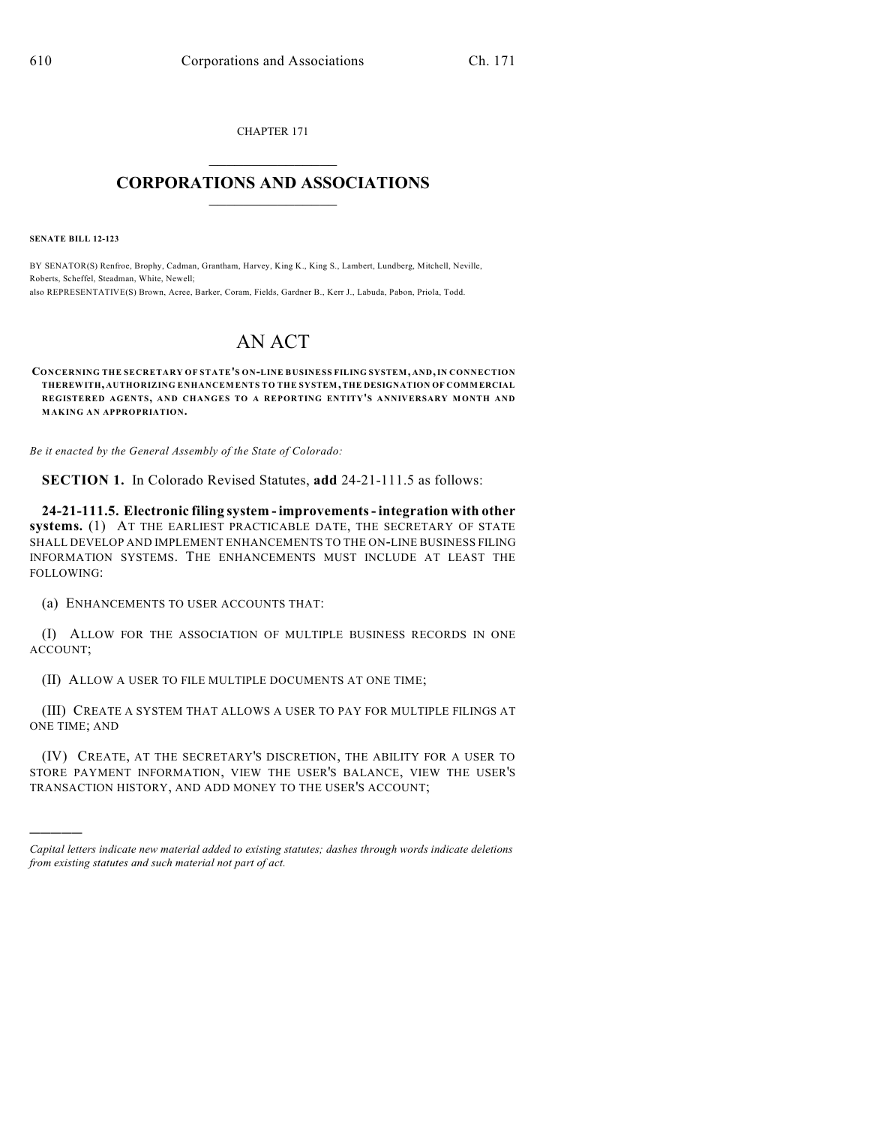CHAPTER 171  $\overline{\phantom{a}}$  . The set of the set of the set of the set of the set of the set of the set of the set of the set of the set of the set of the set of the set of the set of the set of the set of the set of the set of the set o

## **CORPORATIONS AND ASSOCIATIONS**  $\_$   $\_$   $\_$   $\_$   $\_$   $\_$   $\_$   $\_$   $\_$

**SENATE BILL 12-123**

)))))

BY SENATOR(S) Renfroe, Brophy, Cadman, Grantham, Harvey, King K., King S., Lambert, Lundberg, Mitchell, Neville, Roberts, Scheffel, Steadman, White, Newell; also REPRESENTATIVE(S) Brown, Acree, Barker, Coram, Fields, Gardner B., Kerr J., Labuda, Pabon, Priola, Todd.

## AN ACT

**CONCERNING THE SECRETARY OF STATE'S ON-LINE BUSINESS FILING SYSTEM, AND,IN CONNECTION THEREWITH, AUTHORIZING ENHANCEMENTS TO THE SYSTEM, THE DESIGNATION OF COMMERCIAL REGISTERED AGENTS, AND CHANGES TO A REPORTING ENTITY'S ANNIVERSARY MONTH AND MAKING AN APPROPRIATION.**

*Be it enacted by the General Assembly of the State of Colorado:*

**SECTION 1.** In Colorado Revised Statutes, **add** 24-21-111.5 as follows:

**24-21-111.5. Electronic filing system - improvements- integration with other systems.** (1) AT THE EARLIEST PRACTICABLE DATE, THE SECRETARY OF STATE SHALL DEVELOP AND IMPLEMENT ENHANCEMENTS TO THE ON-LINE BUSINESS FILING INFORMATION SYSTEMS. THE ENHANCEMENTS MUST INCLUDE AT LEAST THE FOLLOWING:

(a) ENHANCEMENTS TO USER ACCOUNTS THAT:

(I) ALLOW FOR THE ASSOCIATION OF MULTIPLE BUSINESS RECORDS IN ONE ACCOUNT;

(II) ALLOW A USER TO FILE MULTIPLE DOCUMENTS AT ONE TIME;

(III) CREATE A SYSTEM THAT ALLOWS A USER TO PAY FOR MULTIPLE FILINGS AT ONE TIME; AND

(IV) CREATE, AT THE SECRETARY'S DISCRETION, THE ABILITY FOR A USER TO STORE PAYMENT INFORMATION, VIEW THE USER'S BALANCE, VIEW THE USER'S TRANSACTION HISTORY, AND ADD MONEY TO THE USER'S ACCOUNT;

*Capital letters indicate new material added to existing statutes; dashes through words indicate deletions from existing statutes and such material not part of act.*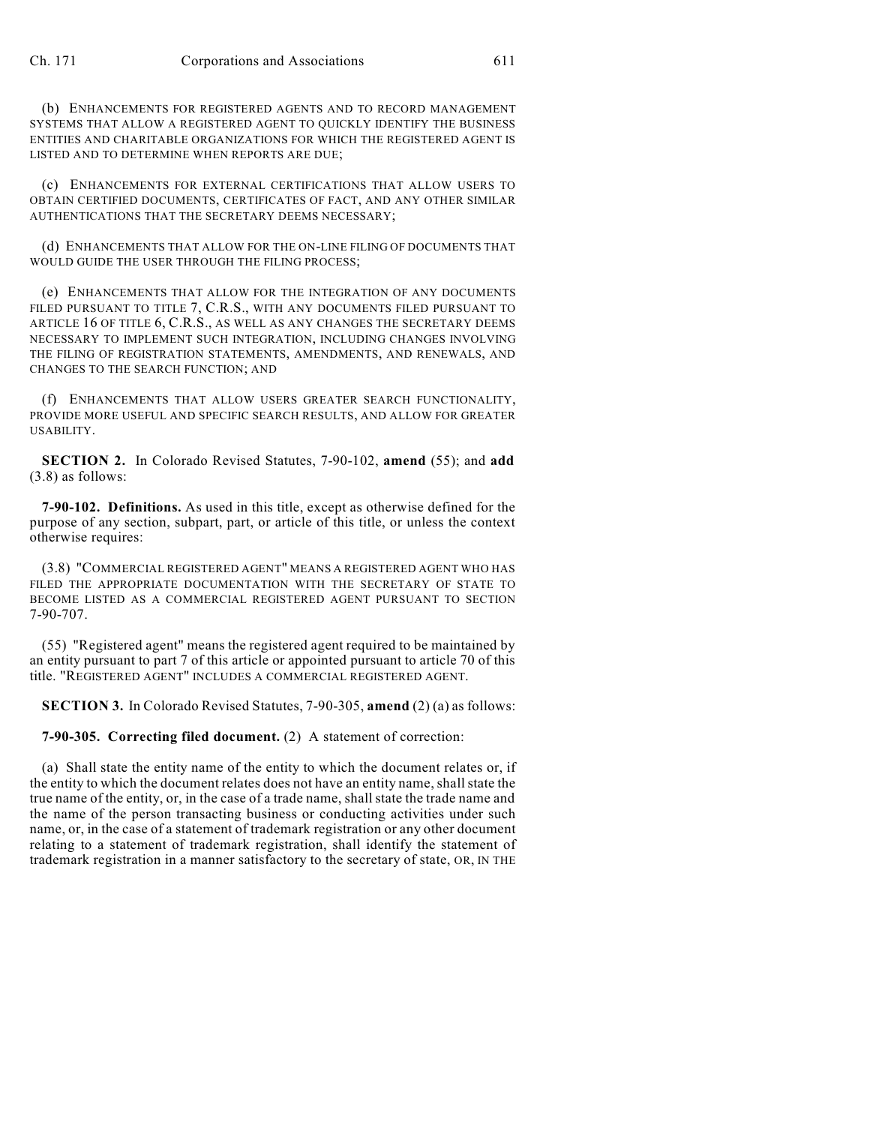(b) ENHANCEMENTS FOR REGISTERED AGENTS AND TO RECORD MANAGEMENT SYSTEMS THAT ALLOW A REGISTERED AGENT TO QUICKLY IDENTIFY THE BUSINESS ENTITIES AND CHARITABLE ORGANIZATIONS FOR WHICH THE REGISTERED AGENT IS LISTED AND TO DETERMINE WHEN REPORTS ARE DUE;

(c) ENHANCEMENTS FOR EXTERNAL CERTIFICATIONS THAT ALLOW USERS TO OBTAIN CERTIFIED DOCUMENTS, CERTIFICATES OF FACT, AND ANY OTHER SIMILAR AUTHENTICATIONS THAT THE SECRETARY DEEMS NECESSARY;

(d) ENHANCEMENTS THAT ALLOW FOR THE ON-LINE FILING OF DOCUMENTS THAT WOULD GUIDE THE USER THROUGH THE FILING PROCESS;

(e) ENHANCEMENTS THAT ALLOW FOR THE INTEGRATION OF ANY DOCUMENTS FILED PURSUANT TO TITLE 7, C.R.S., WITH ANY DOCUMENTS FILED PURSUANT TO ARTICLE 16 OF TITLE 6, C.R.S., AS WELL AS ANY CHANGES THE SECRETARY DEEMS NECESSARY TO IMPLEMENT SUCH INTEGRATION, INCLUDING CHANGES INVOLVING THE FILING OF REGISTRATION STATEMENTS, AMENDMENTS, AND RENEWALS, AND CHANGES TO THE SEARCH FUNCTION; AND

(f) ENHANCEMENTS THAT ALLOW USERS GREATER SEARCH FUNCTIONALITY, PROVIDE MORE USEFUL AND SPECIFIC SEARCH RESULTS, AND ALLOW FOR GREATER USABILITY.

**SECTION 2.** In Colorado Revised Statutes, 7-90-102, **amend** (55); and **add** (3.8) as follows:

**7-90-102. Definitions.** As used in this title, except as otherwise defined for the purpose of any section, subpart, part, or article of this title, or unless the context otherwise requires:

(3.8) "COMMERCIAL REGISTERED AGENT" MEANS A REGISTERED AGENT WHO HAS FILED THE APPROPRIATE DOCUMENTATION WITH THE SECRETARY OF STATE TO BECOME LISTED AS A COMMERCIAL REGISTERED AGENT PURSUANT TO SECTION 7-90-707.

(55) "Registered agent" means the registered agent required to be maintained by an entity pursuant to part 7 of this article or appointed pursuant to article 70 of this title. "REGISTERED AGENT" INCLUDES A COMMERCIAL REGISTERED AGENT.

**SECTION 3.** In Colorado Revised Statutes, 7-90-305, **amend** (2) (a) as follows:

**7-90-305. Correcting filed document.** (2) A statement of correction:

(a) Shall state the entity name of the entity to which the document relates or, if the entity to which the document relates does not have an entity name, shallstate the true name of the entity, or, in the case of a trade name, shallstate the trade name and the name of the person transacting business or conducting activities under such name, or, in the case of a statement of trademark registration or any other document relating to a statement of trademark registration, shall identify the statement of trademark registration in a manner satisfactory to the secretary of state, OR, IN THE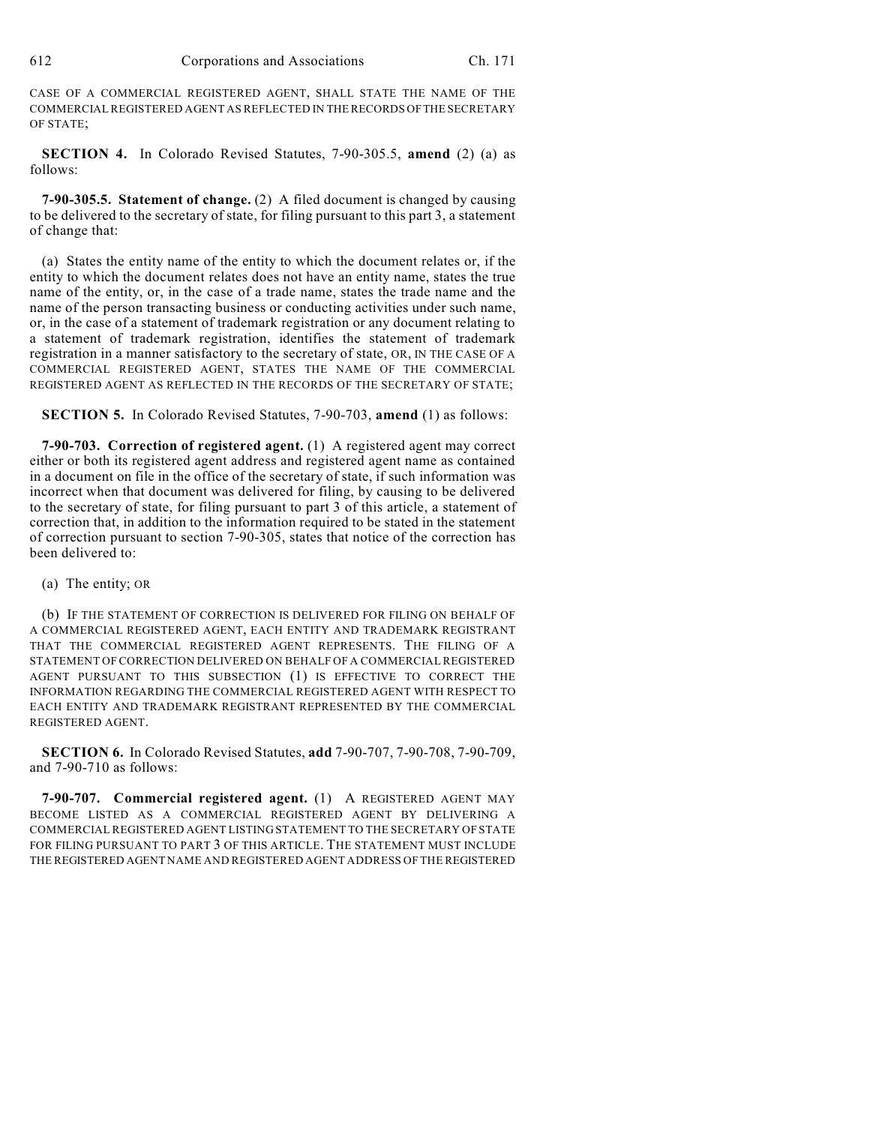CASE OF A COMMERCIAL REGISTERED AGENT, SHALL STATE THE NAME OF THE COMMERCIAL REGISTERED AGENT AS REFLECTED IN THERECORDS OFTHE SECRETARY OF STATE;

**SECTION 4.** In Colorado Revised Statutes, 7-90-305.5, **amend** (2) (a) as follows:

**7-90-305.5. Statement of change.** (2) A filed document is changed by causing to be delivered to the secretary of state, for filing pursuant to this part 3, a statement of change that:

(a) States the entity name of the entity to which the document relates or, if the entity to which the document relates does not have an entity name, states the true name of the entity, or, in the case of a trade name, states the trade name and the name of the person transacting business or conducting activities under such name, or, in the case of a statement of trademark registration or any document relating to a statement of trademark registration, identifies the statement of trademark registration in a manner satisfactory to the secretary of state, OR, IN THE CASE OF A COMMERCIAL REGISTERED AGENT, STATES THE NAME OF THE COMMERCIAL REGISTERED AGENT AS REFLECTED IN THE RECORDS OF THE SECRETARY OF STATE;

**SECTION 5.** In Colorado Revised Statutes, 7-90-703, **amend** (1) as follows:

**7-90-703. Correction of registered agent.** (1) A registered agent may correct either or both its registered agent address and registered agent name as contained in a document on file in the office of the secretary of state, if such information was incorrect when that document was delivered for filing, by causing to be delivered to the secretary of state, for filing pursuant to part 3 of this article, a statement of correction that, in addition to the information required to be stated in the statement of correction pursuant to section 7-90-305, states that notice of the correction has been delivered to:

(a) The entity; OR

(b) IF THE STATEMENT OF CORRECTION IS DELIVERED FOR FILING ON BEHALF OF A COMMERCIAL REGISTERED AGENT, EACH ENTITY AND TRADEMARK REGISTRANT THAT THE COMMERCIAL REGISTERED AGENT REPRESENTS. THE FILING OF A STATEMENT OF CORRECTION DELIVERED ON BEHALF OF A COMMERCIAL REGISTERED AGENT PURSUANT TO THIS SUBSECTION (1) IS EFFECTIVE TO CORRECT THE INFORMATION REGARDING THE COMMERCIAL REGISTERED AGENT WITH RESPECT TO EACH ENTITY AND TRADEMARK REGISTRANT REPRESENTED BY THE COMMERCIAL REGISTERED AGENT.

**SECTION 6.** In Colorado Revised Statutes, **add** 7-90-707, 7-90-708, 7-90-709, and 7-90-710 as follows:

**7-90-707. Commercial registered agent.** (1) A REGISTERED AGENT MAY BECOME LISTED AS A COMMERCIAL REGISTERED AGENT BY DELIVERING A COMMERCIAL REGISTERED AGENT LISTING STATEMENT TO THE SECRETARY OF STATE FOR FILING PURSUANT TO PART 3 OF THIS ARTICLE. THE STATEMENT MUST INCLUDE THE REGISTERED AGENT NAME AND REGISTERED AGENT ADDRESS OF THE REGISTERED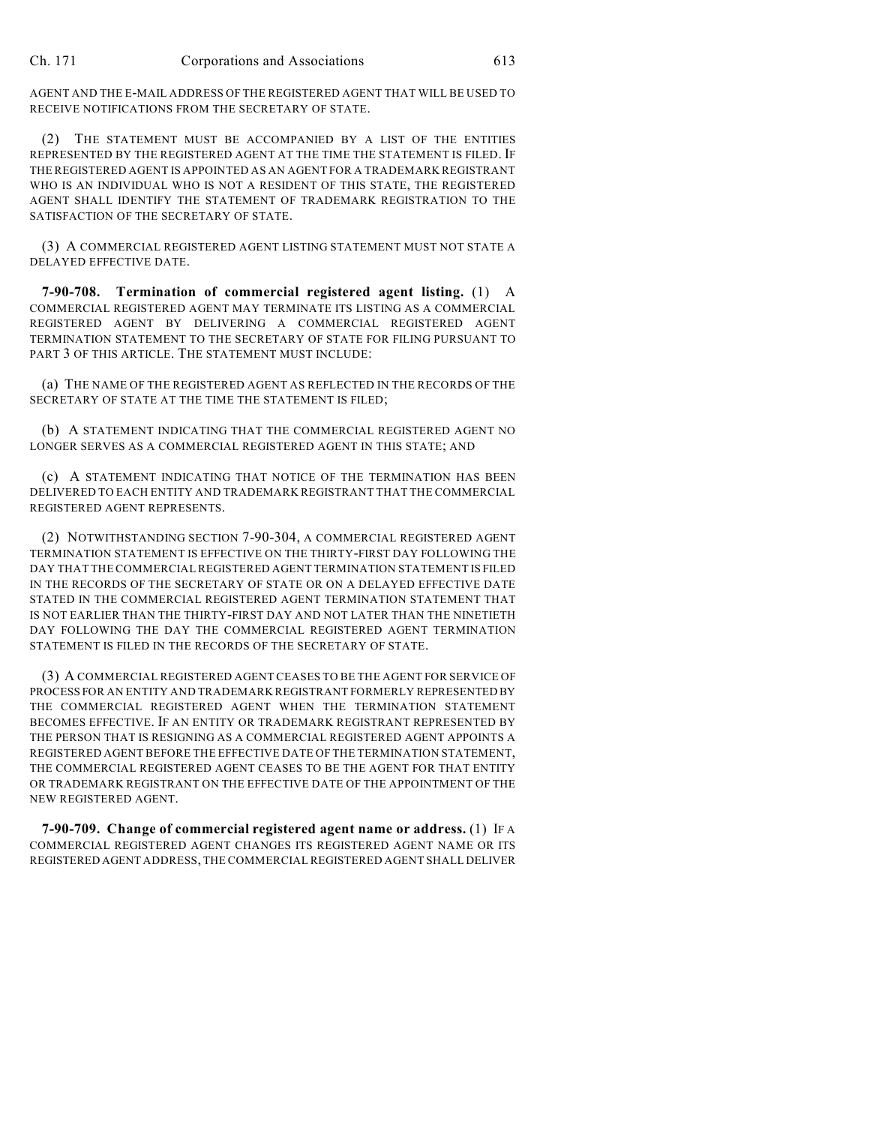AGENT AND THE E-MAIL ADDRESS OF THE REGISTERED AGENT THAT WILL BE USED TO RECEIVE NOTIFICATIONS FROM THE SECRETARY OF STATE.

(2) THE STATEMENT MUST BE ACCOMPANIED BY A LIST OF THE ENTITIES REPRESENTED BY THE REGISTERED AGENT AT THE TIME THE STATEMENT IS FILED. IF THE REGISTERED AGENT IS APPOINTED AS AN AGENT FOR A TRADEMARK REGISTRANT WHO IS AN INDIVIDUAL WHO IS NOT A RESIDENT OF THIS STATE, THE REGISTERED AGENT SHALL IDENTIFY THE STATEMENT OF TRADEMARK REGISTRATION TO THE SATISFACTION OF THE SECRETARY OF STATE.

(3) A COMMERCIAL REGISTERED AGENT LISTING STATEMENT MUST NOT STATE A DELAYED EFFECTIVE DATE.

**7-90-708. Termination of commercial registered agent listing.** (1) A COMMERCIAL REGISTERED AGENT MAY TERMINATE ITS LISTING AS A COMMERCIAL REGISTERED AGENT BY DELIVERING A COMMERCIAL REGISTERED AGENT TERMINATION STATEMENT TO THE SECRETARY OF STATE FOR FILING PURSUANT TO PART 3 OF THIS ARTICLE. THE STATEMENT MUST INCLUDE:

(a) THE NAME OF THE REGISTERED AGENT AS REFLECTED IN THE RECORDS OF THE SECRETARY OF STATE AT THE TIME THE STATEMENT IS FILED;

(b) A STATEMENT INDICATING THAT THE COMMERCIAL REGISTERED AGENT NO LONGER SERVES AS A COMMERCIAL REGISTERED AGENT IN THIS STATE; AND

(c) A STATEMENT INDICATING THAT NOTICE OF THE TERMINATION HAS BEEN DELIVERED TO EACH ENTITY AND TRADEMARK REGISTRANT THAT THE COMMERCIAL REGISTERED AGENT REPRESENTS.

(2) NOTWITHSTANDING SECTION 7-90-304, A COMMERCIAL REGISTERED AGENT TERMINATION STATEMENT IS EFFECTIVE ON THE THIRTY-FIRST DAY FOLLOWING THE DAY THAT THE COMMERCIAL REGISTERED AGENT TERMINATION STATEMENT IS FILED IN THE RECORDS OF THE SECRETARY OF STATE OR ON A DELAYED EFFECTIVE DATE STATED IN THE COMMERCIAL REGISTERED AGENT TERMINATION STATEMENT THAT IS NOT EARLIER THAN THE THIRTY-FIRST DAY AND NOT LATER THAN THE NINETIETH DAY FOLLOWING THE DAY THE COMMERCIAL REGISTERED AGENT TERMINATION STATEMENT IS FILED IN THE RECORDS OF THE SECRETARY OF STATE.

(3) A COMMERCIAL REGISTERED AGENT CEASES TO BE THE AGENT FOR SERVICE OF PROCESS FOR AN ENTITY AND TRADEMARK REGISTRANT FORMERLY REPRESENTED BY THE COMMERCIAL REGISTERED AGENT WHEN THE TERMINATION STATEMENT BECOMES EFFECTIVE. IF AN ENTITY OR TRADEMARK REGISTRANT REPRESENTED BY THE PERSON THAT IS RESIGNING AS A COMMERCIAL REGISTERED AGENT APPOINTS A REGISTERED AGENT BEFORE THE EFFECTIVE DATE OF THE TERMINATION STATEMENT, THE COMMERCIAL REGISTERED AGENT CEASES TO BE THE AGENT FOR THAT ENTITY OR TRADEMARK REGISTRANT ON THE EFFECTIVE DATE OF THE APPOINTMENT OF THE NEW REGISTERED AGENT.

**7-90-709. Change of commercial registered agent name or address.** (1) IF A COMMERCIAL REGISTERED AGENT CHANGES ITS REGISTERED AGENT NAME OR ITS REGISTERED AGENT ADDRESS, THE COMMERCIAL REGISTERED AGENT SHALL DELIVER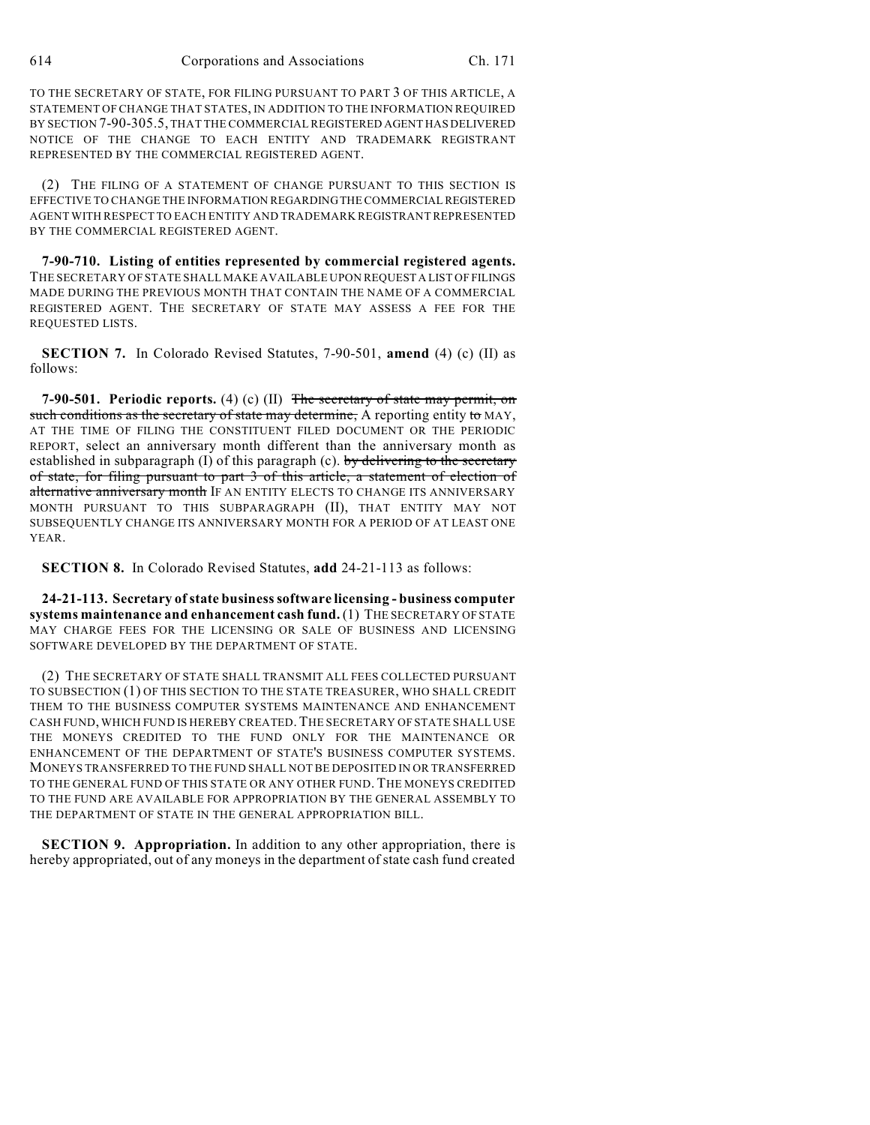TO THE SECRETARY OF STATE, FOR FILING PURSUANT TO PART 3 OF THIS ARTICLE, A STATEMENT OF CHANGE THAT STATES, IN ADDITION TO THE INFORMATION REQUIRED BY SECTION 7-90-305.5, THAT THE COMMERCIAL REGISTERED AGENT HAS DELIVERED NOTICE OF THE CHANGE TO EACH ENTITY AND TRADEMARK REGISTRANT REPRESENTED BY THE COMMERCIAL REGISTERED AGENT.

(2) THE FILING OF A STATEMENT OF CHANGE PURSUANT TO THIS SECTION IS EFFECTIVE TO CHANGE THE INFORMATION REGARDINGTHE COMMERCIAL REGISTERED AGENT WITH RESPECT TO EACH ENTITY AND TRADEMARK REGISTRANTREPRESENTED BY THE COMMERCIAL REGISTERED AGENT.

**7-90-710. Listing of entities represented by commercial registered agents.** THE SECRETARY OF STATE SHALL MAKE AVAILABLE UPON REQUEST A LIST OF FILINGS MADE DURING THE PREVIOUS MONTH THAT CONTAIN THE NAME OF A COMMERCIAL REGISTERED AGENT. THE SECRETARY OF STATE MAY ASSESS A FEE FOR THE REQUESTED LISTS.

**SECTION 7.** In Colorado Revised Statutes, 7-90-501, **amend** (4) (c) (II) as follows:

**7-90-501. Periodic reports.** (4) (c) (II) The secretary of state may permit, on such conditions as the secretary of state may determine, A reporting entity to MAY, AT THE TIME OF FILING THE CONSTITUENT FILED DOCUMENT OR THE PERIODIC REPORT, select an anniversary month different than the anniversary month as established in subparagraph  $(I)$  of this paragraph  $(c)$ . by delivering to the secretary of state, for filing pursuant to part 3 of this article, a statement of election of alternative anniversary month IF AN ENTITY ELECTS TO CHANGE ITS ANNIVERSARY MONTH PURSUANT TO THIS SUBPARAGRAPH (II), THAT ENTITY MAY NOT SUBSEQUENTLY CHANGE ITS ANNIVERSARY MONTH FOR A PERIOD OF AT LEAST ONE YEAR.

**SECTION 8.** In Colorado Revised Statutes, **add** 24-21-113 as follows:

**24-21-113. Secretary ofstate businesssoftware licensing - business computer systems maintenance and enhancement cash fund.** (1) THE SECRETARY OF STATE MAY CHARGE FEES FOR THE LICENSING OR SALE OF BUSINESS AND LICENSING SOFTWARE DEVELOPED BY THE DEPARTMENT OF STATE.

(2) THE SECRETARY OF STATE SHALL TRANSMIT ALL FEES COLLECTED PURSUANT TO SUBSECTION (1) OF THIS SECTION TO THE STATE TREASURER, WHO SHALL CREDIT THEM TO THE BUSINESS COMPUTER SYSTEMS MAINTENANCE AND ENHANCEMENT CASH FUND, WHICH FUND IS HEREBY CREATED.THE SECRETARY OF STATE SHALL USE THE MONEYS CREDITED TO THE FUND ONLY FOR THE MAINTENANCE OR ENHANCEMENT OF THE DEPARTMENT OF STATE'S BUSINESS COMPUTER SYSTEMS. MONEYS TRANSFERRED TO THE FUND SHALL NOT BE DEPOSITED IN OR TRANSFERRED TO THE GENERAL FUND OF THIS STATE OR ANY OTHER FUND. THE MONEYS CREDITED TO THE FUND ARE AVAILABLE FOR APPROPRIATION BY THE GENERAL ASSEMBLY TO THE DEPARTMENT OF STATE IN THE GENERAL APPROPRIATION BILL.

**SECTION 9. Appropriation.** In addition to any other appropriation, there is hereby appropriated, out of any moneys in the department of state cash fund created